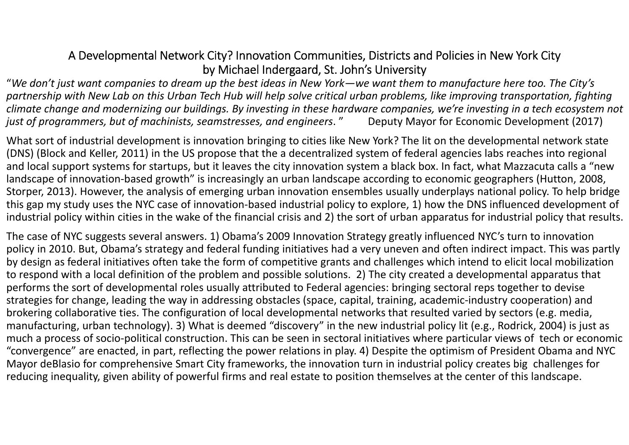# A Developmental Network City? Innovation Communities, Districts and Policies in New York City by Michael Indergaard, St. John's University

"We don't just want companies to dream up the best ideas in New York—we want them to manufacture here too. The City's partnership with New Lab on this Urban Tech Hub will help solve critical urban problems, like improving transportation, fighting climate change and modernizing our buildings. By investing in these hardware companies, we're investing in a tech ecosystem not *just of programmers, but of machinists, seamstresses, and engineers*. " Deputy Mayor for Economic Development (2017)

What sort of industrial development is innovation bringing to cities like New York? The lit on the developmental network state (DNS) (Block and Keller, 2011) in the US propose that the <sup>a</sup> decentralized system of federal agencies labs reaches into regional and local support systems for startups, but it leaves the city innovation system <sup>a</sup> black box. In fact, what Mazzacuta calls <sup>a</sup> "new landscape of innovation‐based growth" is increasingly an urban landscape according to economic geographers (Hutton, 2008, Storper, 2013). However, the analysis of emerging urban innovation ensembles usually underplays national policy. To help bridge this gap my study uses the NYC case of innovation‐based industrial policy to explore, 1) how the DNS influenced development of industrial policy within cities in the wake of the financial crisis and 2) the sort of urban apparatus for industrial policy that results.

The case of NYC suggests several answers. 1) Obama's 2009 Innovation Strategy greatly influenced NYC's turn to innovation policy in 2010. But, Obama's strategy and federal funding initiatives had <sup>a</sup> very uneven and often indirect impact. This was partly by design as federal initiatives often take the form of competitive grants and challenges which intend to elicit local mobilization to respond with <sup>a</sup> local definition of the problem and possible solutions. 2) The city created <sup>a</sup> developmental apparatus that performs the sort of developmental roles usually attributed to Federal agencies: bringing sectoral reps together to devise strategies for change, leading the way in addressing obstacles (space, capital, training, academic‐industry cooperation) and brokering collaborative ties. The configuration of local developmental networks that resulted varied by sectors (e.g. media, manufacturing, urban technology). 3) What is deemed "discovery" in the new industrial policy lit (e.g., Rodrick, 2004) is just as much <sup>a</sup> process of socio‐political construction. This can be seen in sectoral initiatives where particular views of tech or economic "convergence" are enacted, in part, reflecting the power relations in play. 4) Despite the optimism of President Obama and NYC Mayor deBlasio for comprehensive Smart City frameworks, the innovation turn in industrial policy creates big challenges for reducing inequality, given ability of powerful firms and real estate to position themselves at the center of this landscape.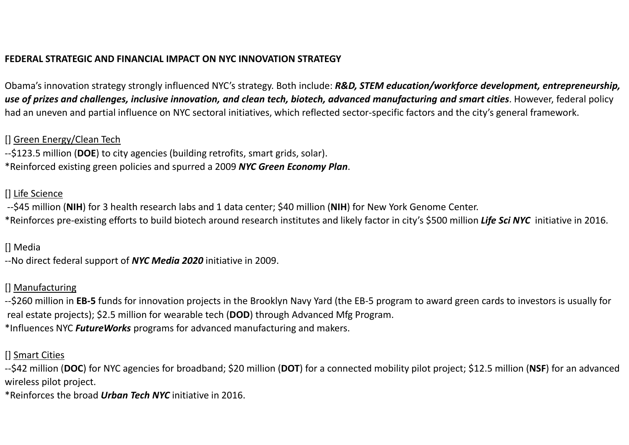#### **FEDERAL STRATEGIC AND FINANCIAL IMPACT ON NYC INNOVATION STRATEGY**

Obama's innovation strategy strongly influenced NYC's strategy. Both include: *R&D, STEM education/workforce development, entrepreneurship,* **use of prizes and challenges, inclusive innovation, and clean tech, biotech, advanced manufacturing and smart cities**. However, federal policy had an uneven and partial influence on NYC sectoral initiatives, which reflected sector‐specific factors and the city's general framework.

#### [] Green Energy/Clean Tech

‐‐\$123.5 million (**DOE**) to city agencies (building retrofits, smart grids, solar). \*Reinforced existing green policies and spurred <sup>a</sup> 2009 *NYC Green Economy Plan*.

#### [] Life Science

‐‐\$45 million (**NIH**) for 3 health research labs and <sup>1</sup> data center; \$40 million (**NIH**) for New York Genome Center.

\*Reinforces pre‐existing efforts to build biotech around research institutes and likely factor in city's \$500 million *Life Sci NYC* initiative in 2016.

## [] Media

‐‐No direct federal support of *NYC Media 2020* initiative in 2009.

## [] Manufacturing

‐‐\$260 million in **EB‐<sup>5</sup>** funds for innovation projects in the Brooklyn Navy Yard (the EB‐<sup>5</sup> program to award green cards to investors is usually for real estate projects); \$2.5 million for wearable tech (**DOD**) through Advanced Mfg Program. \*Influences NYC *FutureWorks* programs for advanced manufacturing and makers.

### [] Smart Cities

‐‐\$42 million (**DOC**) for NYC agencies for broadband; \$20 million (**DOT**) for <sup>a</sup> connected mobility pilot project; \$12.5 million (**NSF**) for an advanced wireless pilot project.

\*Reinforces the broad *Urban Tech NYC* initiative in 2016.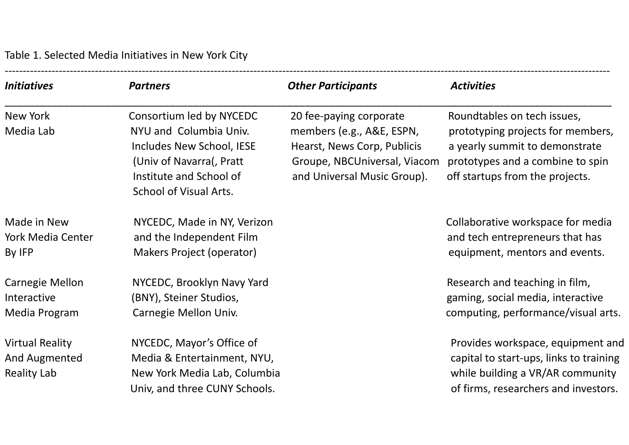Table 1. Selected Media Initiatives in New York City

| <b>Initiatives</b>                                            | <b>Partners</b>                                                                                                                                                         | <b>Other Participants</b>                                                                                                                          | <b>Activities</b>                                                                                                                                                         |
|---------------------------------------------------------------|-------------------------------------------------------------------------------------------------------------------------------------------------------------------------|----------------------------------------------------------------------------------------------------------------------------------------------------|---------------------------------------------------------------------------------------------------------------------------------------------------------------------------|
| New York<br>Media Lab                                         | Consortium led by NYCEDC<br>NYU and Columbia Univ.<br>Includes New School, IESE<br>(Univ of Navarra), Pratt<br>Institute and School of<br><b>School of Visual Arts.</b> | 20 fee-paying corporate<br>members (e.g., A&E, ESPN,<br>Hearst, News Corp, Publicis<br>Groupe, NBCUniversal, Viacom<br>and Universal Music Group). | Roundtables on tech issues,<br>prototyping projects for members,<br>a yearly summit to demonstrate<br>prototypes and a combine to spin<br>off startups from the projects. |
| Made in New<br>York Media Center<br>By IFP                    | NYCEDC, Made in NY, Verizon<br>and the Independent Film<br>Makers Project (operator)                                                                                    |                                                                                                                                                    | Collaborative workspace for media<br>and tech entrepreneurs that has<br>equipment, mentors and events.                                                                    |
| Carnegie Mellon<br>Interactive<br>Media Program               | NYCEDC, Brooklyn Navy Yard<br>(BNY), Steiner Studios,<br>Carnegie Mellon Univ.                                                                                          |                                                                                                                                                    | Research and teaching in film,<br>gaming, social media, interactive<br>computing, performance/visual arts.                                                                |
| <b>Virtual Reality</b><br>And Augmented<br><b>Reality Lab</b> | NYCEDC, Mayor's Office of<br>Media & Entertainment, NYU,<br>New York Media Lab, Columbia<br>Univ, and three CUNY Schools.                                               |                                                                                                                                                    | Provides workspace, equipment and<br>capital to start-ups, links to training<br>while building a VR/AR community<br>of firms, researchers and investors.                  |

‐‐‐‐‐‐‐‐‐‐‐‐‐‐‐‐‐‐‐‐‐‐‐‐‐‐‐‐‐‐‐‐‐‐‐‐‐‐‐‐‐‐‐‐‐‐‐‐‐‐‐‐‐‐‐‐‐‐‐‐‐‐‐‐‐‐‐‐‐‐‐‐‐‐‐‐‐‐‐‐‐‐‐‐‐‐‐‐‐‐‐‐‐‐‐‐‐‐‐‐‐‐‐‐‐‐‐‐‐‐‐‐‐‐‐‐‐‐‐‐‐‐‐‐‐‐‐‐‐‐‐‐‐‐‐‐‐‐‐‐‐‐‐‐‐‐‐‐‐‐‐‐‐‐‐‐‐‐‐‐‐‐‐‐‐‐‐‐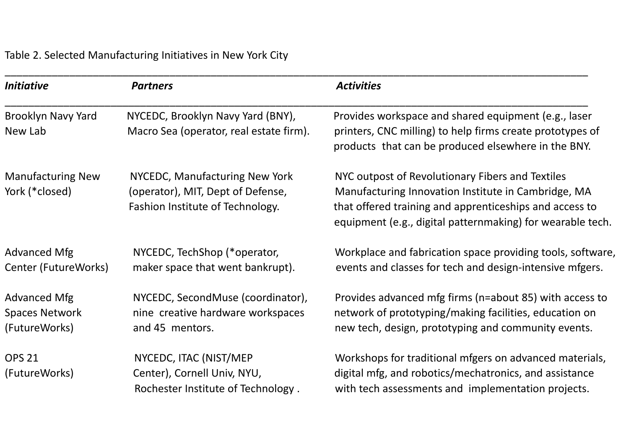Table 2. Selected Manufacturing Initiatives in New York City

| <i>Initiative</i>                                             | <b>Partners</b>                                                                                         | <b>Activities</b>                                                                                                                                                                                                                |
|---------------------------------------------------------------|---------------------------------------------------------------------------------------------------------|----------------------------------------------------------------------------------------------------------------------------------------------------------------------------------------------------------------------------------|
| <b>Brooklyn Navy Yard</b><br>New Lab                          | NYCEDC, Brooklyn Navy Yard (BNY),<br>Macro Sea (operator, real estate firm).                            | Provides workspace and shared equipment (e.g., laser<br>printers, CNC milling) to help firms create prototypes of<br>products that can be produced elsewhere in the BNY.                                                         |
| <b>Manufacturing New</b><br>York (*closed)                    | NYCEDC, Manufacturing New York<br>(operator), MIT, Dept of Defense,<br>Fashion Institute of Technology. | NYC outpost of Revolutionary Fibers and Textiles<br>Manufacturing Innovation Institute in Cambridge, MA<br>that offered training and apprenticeships and access to<br>equipment (e.g., digital patternmaking) for wearable tech. |
| <b>Advanced Mfg</b><br>Center (FutureWorks)                   | NYCEDC, TechShop (*operator,<br>maker space that went bankrupt).                                        | Workplace and fabrication space providing tools, software,<br>events and classes for tech and design-intensive mfgers.                                                                                                           |
| <b>Advanced Mfg</b><br><b>Spaces Network</b><br>(FutureWorks) | NYCEDC, SecondMuse (coordinator),<br>nine creative hardware workspaces<br>and 45 mentors.               | Provides advanced mfg firms (n=about 85) with access to<br>network of prototyping/making facilities, education on<br>new tech, design, prototyping and community events.                                                         |
| <b>OPS 21</b><br>(FutureWorks)                                | NYCEDC, ITAC (NIST/MEP<br>Center), Cornell Univ, NYU,<br>Rochester Institute of Technology.             | Workshops for traditional mfgers on advanced materials,<br>digital mfg, and robotics/mechatronics, and assistance<br>with tech assessments and implementation projects.                                                          |